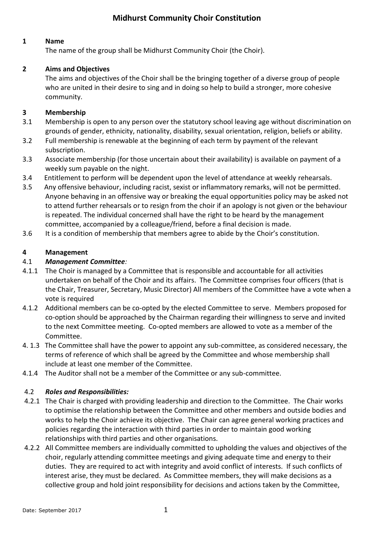# **Midhurst Community Choir Constitution**

# **1 Name**

The name of the group shall be Midhurst Community Choir (the Choir).

# **2 Aims and Objectives**

The aims and objectives of the Choir shall be the bringing together of a diverse group of people who are united in their desire to sing and in doing so help to build a stronger, more cohesive community.

### **3 Membership**

- 3.1 Membership is open to any person over the statutory school leaving age without discrimination on grounds of gender, ethnicity, nationality, disability, sexual orientation, religion, beliefs or ability.
- 3.2 Full membership is renewable at the beginning of each term by payment of the relevant subscription.
- 3.3 Associate membership (for those uncertain about their availability) is available on payment of a weekly sum payable on the night.
- 3.4 Entitlement to perform will be dependent upon the level of attendance at weekly rehearsals.
- 3.5 Any offensive behaviour, including racist, sexist or inflammatory remarks, will not be permitted. Anyone behaving in an offensive way or breaking the equal opportunities policy may be asked not to attend further rehearsals or to resign from the choir if an apology is not given or the behaviour is repeated. The individual concerned shall have the right to be heard by the management committee, accompanied by a colleague/friend, before a final decision is made.
- 3.6 It is a condition of membership that members agree to abide by the Choir's constitution.

### **4 Management**

# 4.1 *Management Committee:*

- 4.1.1 The Choir is managed by a Committee that is responsible and accountable for all activities undertaken on behalf of the Choir and its affairs. The Committee comprises four officers (that is the Chair, Treasurer, Secretary, Music Director) All members of the Committee have a vote when a vote is required
- 4.1.2 Additional members can be co-opted by the elected Committee to serve. Members proposed for co-option should be approached by the Chairman regarding their willingness to serve and invited to the next Committee meeting. Co-opted members are allowed to vote as a member of the Committee.
- 4. 1.3 The Committee shall have the power to appoint any sub-committee, as considered necessary, the terms of reference of which shall be agreed by the Committee and whose membership shall include at least one member of the Committee.
- 4.1.4 The Auditor shall not be a member of the Committee or any sub-committee.

### 4.2 *Roles and Responsibilities:*

- 4.2.1 The Chair is charged with providing leadership and direction to the Committee. The Chair works to optimise the relationship between the Committee and other members and outside bodies and works to help the Choir achieve its objective. The Chair can agree general working practices and policies regarding the interaction with third parties in order to maintain good working relationships with third parties and other organisations.
- 4.2.2 All Committee members are individually committed to upholding the values and objectives of the choir, regularly attending committee meetings and giving adequate time and energy to their duties. They are required to act with integrity and avoid conflict of interests. If such conflicts of interest arise, they must be declared. As Committee members, they will make decisions as a collective group and hold joint responsibility for decisions and actions taken by the Committee,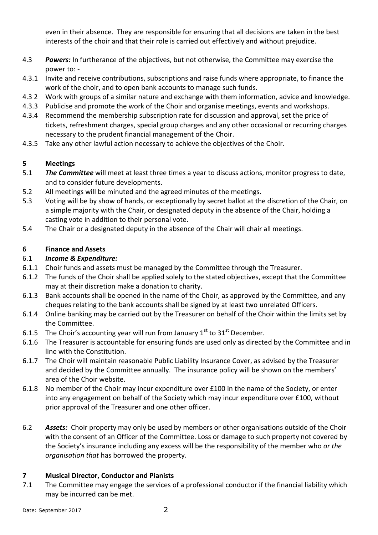even in their absence. They are responsible for ensuring that all decisions are taken in the best interests of the choir and that their role is carried out effectively and without prejudice.

- 4.3 *Powers:* In furtherance of the objectives, but not otherwise, the Committee may exercise the power to: -
- 4.3.1 Invite and receive contributions, subscriptions and raise funds where appropriate, to finance the work of the choir, and to open bank accounts to manage such funds.
- 4.3 2 Work with groups of a similar nature and exchange with them information, advice and knowledge.
- 4.3.3 Publicise and promote the work of the Choir and organise meetings, events and workshops.
- 4.3.4 Recommend the membership subscription rate for discussion and approval, set the price of tickets, refreshment charges, special group charges and any other occasional or recurring charges necessary to the prudent financial management of the Choir.
- 4.3.5 Take any other lawful action necessary to achieve the objectives of the Choir.

# **5 Meetings**

- 5.1 *The Committee* will meet at least three times a year to discuss actions, monitor progress to date, and to consider future developments.
- 5.2 All meetings will be minuted and the agreed minutes of the meetings.
- 5.3 Voting will be by show of hands, or exceptionally by secret ballot at the discretion of the Chair, on a simple majority with the Chair, or designated deputy in the absence of the Chair, holding a casting vote in addition to their personal vote.
- 5.4 The Chair or a designated deputy in the absence of the Chair will chair all meetings.

# **6 Finance and Assets**

# 6.1 *Income & Expenditure:*

- 6.1.1 Choir funds and assets must be managed by the Committee through the Treasurer.
- 6.1.2 The funds of the Choir shall be applied solely to the stated objectives, except that the Committee may at their discretion make a donation to charity.
- 6.1.3 Bank accounts shall be opened in the name of the Choir, as approved by the Committee, and any cheques relating to the bank accounts shall be signed by at least two unrelated Officers.
- 6.1.4 Online banking may be carried out by the Treasurer on behalf of the Choir within the limits set by the Committee.
- 6.1.5 The Choir's accounting year will run from January  $1<sup>st</sup>$  to  $31<sup>st</sup>$  December.
- 6.1.6 The Treasurer is accountable for ensuring funds are used only as directed by the Committee and in line with the Constitution.
- 6.1.7 The Choir will maintain reasonable Public Liability Insurance Cover, as advised by the Treasurer and decided by the Committee annually. The insurance policy will be shown on the members' area of the Choir website.
- 6.1.8 No member of the Choir may incur expenditure over £100 in the name of the Society, or enter into any engagement on behalf of the Society which may incur expenditure over £100, without prior approval of the Treasurer and one other officer.
- 6.2 *Assets:*Choir property may only be used by members or other organisations outside of the Choir with the consent of an Officer of the Committee. Loss or damage to such property not covered by the Society's insurance including any excess will be the responsibility of the member who *or the organisation that* has borrowed the property.

### **7 Musical Director, Conductor and Pianists**

7.1 The Committee may engage the services of a professional conductor if the financial liability which may be incurred can be met.